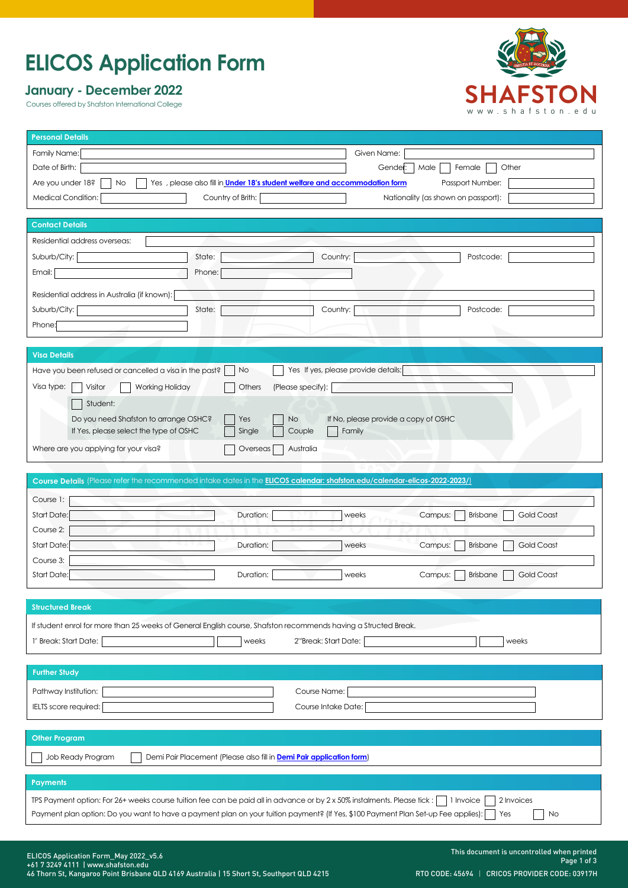# **ELICOS Application Form**

## **January - December 2022**

Courses offered by Shafston International College



| <b>Personal Details</b>                                                                                                                            |
|----------------------------------------------------------------------------------------------------------------------------------------------------|
| Family Name:<br>Given Name:                                                                                                                        |
| Date of Birth:<br>Other<br>Gender:<br>Male<br>Female                                                                                               |
| Are you under 18?<br>Yes, please also fill in Under 18's student welfare and accommodation form<br>Passport Number:<br>No.                         |
| Medical Condition:<br>Country of Brith:<br>Nationality (as shown on passport):                                                                     |
| <b>Contact Details</b>                                                                                                                             |
| Residential address overseas:                                                                                                                      |
| Suburb/City:<br>State:<br>Country:<br>Postcode:                                                                                                    |
| Email:<br>Phone:                                                                                                                                   |
| Residential address in Australia (if known):                                                                                                       |
| Suburb/City:<br>State:<br>Country:<br>Postcode:                                                                                                    |
| Phone:                                                                                                                                             |
|                                                                                                                                                    |
| <b>Visa Details</b>                                                                                                                                |
| Yes If yes, please provide details:<br>Have you been refused or cancelled a visa in the past?<br>No                                                |
| Visa type:<br>Visitor<br>Others<br>(Please specify):<br>Working Holiday                                                                            |
| Student:                                                                                                                                           |
| Do you need Shafston to arrange OSHC?<br>If No, please provide a copy of OSHC<br><b>No</b><br>Yes                                                  |
| If Yes, please select the type of OSHC<br>Single<br>Couple<br>Family                                                                               |
| Where are you applying for your visa?<br>Australia<br>Overseas                                                                                     |
|                                                                                                                                                    |
| Course Details (Please refer the recommended intake dates in the ELICOS calendar: shafston.edu/calendar-elicos-2022-2023/)                         |
|                                                                                                                                                    |
| Course 1:                                                                                                                                          |
| Start Date:<br>Duration:<br>Campus:<br><b>Brisbane</b><br><b>Gold Coast</b><br>weeks                                                               |
| Course 2:                                                                                                                                          |
| Start Date:<br>Duration:<br>Campus:<br><b>Gold Coast</b><br>weeks<br><b>Brisbane</b>                                                               |
| Course 3:                                                                                                                                          |
| Start Date:<br>Gold Coast<br>Duration:<br>weeks<br><b>Brisbane</b><br>Campus:                                                                      |
|                                                                                                                                                    |
| <b>Structured Break</b>                                                                                                                            |
| If student enrol for more than 25 weeks of General English course, Shafston recommends having a Structed Break.                                    |
| 2 <sup>nd</sup> Break: Start Date:<br>1 <sup>st</sup> Break: Start Date:<br>weeks<br>weeks                                                         |
|                                                                                                                                                    |
| <b>Further Study</b>                                                                                                                               |
| Pathway Institution:<br>Course Name:                                                                                                               |
| IELTS score required:<br>Course Intake Date:                                                                                                       |
|                                                                                                                                                    |
| <b>Other Program</b>                                                                                                                               |
| Job Ready Program<br>Demi Pair Placement (Please also fill in Demi Pair application form)                                                          |
|                                                                                                                                                    |
| Payments                                                                                                                                           |
| IPS Payment option: For 26+ weeks course tuition fee can be paid all in advance or by 2 x 50% instalments. Please tick:<br>2 Invoices<br>1 Invoice |
| Payment plan option: Do you want to have a payment plan on your tuition payment? (If Yes, \$100 Payment Plan Set-up Fee applies):<br>Yes<br>No     |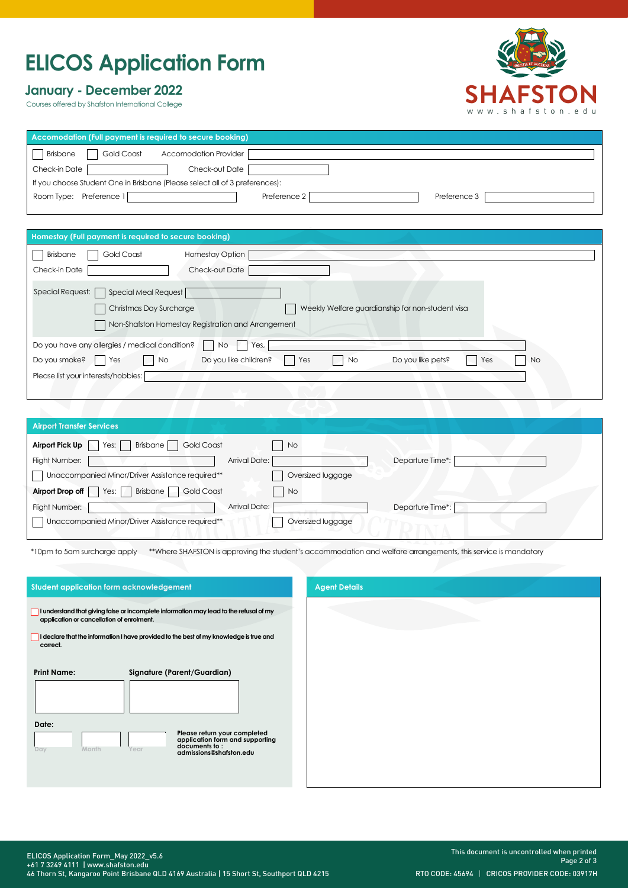# **ELICOS Application Form**

## **January - December 2022**

Courses offered by Shafston International College



| Accomodation (Full payment is required to secure booking)                   |                              |
|-----------------------------------------------------------------------------|------------------------------|
| Brisbane<br>Gold Coast<br>Accomodation Provider                             |                              |
| Check-in Date<br>Check-out Date                                             |                              |
| If you choose Student One in Brisbane (Please select all of 3 preferences): |                              |
| Room Type: Preference 1                                                     | Preference 2<br>Preference 3 |
|                                                                             |                              |

|  | Homestay (Full payment is required to secure booking) |  |
|--|-------------------------------------------------------|--|
|  |                                                       |  |

| <b>HOMESICY (FUILD CYTHEM IS required to secure booking)</b>                                               |
|------------------------------------------------------------------------------------------------------------|
| Gold Coast<br>Brisbane<br><b>Homestay Option</b>                                                           |
| Check-in Date<br>Check-out Date                                                                            |
| Special Request:     Special Meal Request                                                                  |
| Christmas Day Surcharge<br>Weekly Welfare guardianship for non-student visa                                |
| Non-Shafston Homestay Registration and Arrangement                                                         |
| Do you have any allergies / medical condition?<br>Yes,<br>No.                                              |
| Do you like children?<br>Do you smoke?<br>Do you like pets?<br>Yes<br><b>No</b><br>No<br>No.<br>Yes<br>Yes |
| Please list your interests/hobbies:                                                                        |
|                                                                                                            |

| <b>Airport Transfer Services</b>                             |                   |
|--------------------------------------------------------------|-------------------|
| <b>Gold Coast</b><br>Airport Pick Up<br>Brisbane<br>Yes:     | <b>No</b>         |
| Arrival Date:<br>Flight Number:                              | Departure Time*:  |
| Unaccompanied Minor/Driver Assistance required**             | Oversized luggage |
| Yes:     Brisbane  <br>Airport Drop off<br><b>Gold Coast</b> | <b>No</b>         |
| Arrival Date:<br>Flight Number:                              | Departure Time*:  |
| Unaccompanied Minor/Driver Assistance required**             | Oversized luggage |

\*10pm to 5am surcharge apply \*\*Where SHAFSTON is approving the student's accommodation and welfare arrangements, this service is mandatory

| Student application form acknowledgement                                                                                                                                                                                                  | <b>Agent Details</b> |
|-------------------------------------------------------------------------------------------------------------------------------------------------------------------------------------------------------------------------------------------|----------------------|
| I understand that giving false or incomplete information may lead to the refusal of my<br>application or cancellation of enrolment.<br>I declare that the information I have provided to the best of my knowledge is true and<br>correct. |                      |
| <b>Print Name:</b><br>Signature (Parent/Guardian)                                                                                                                                                                                         |                      |
| Date:<br>Please return your completed<br>application form and supporting<br>documents to:<br>Month<br>Day<br>Year<br>admissions@shafston.edu                                                                                              |                      |